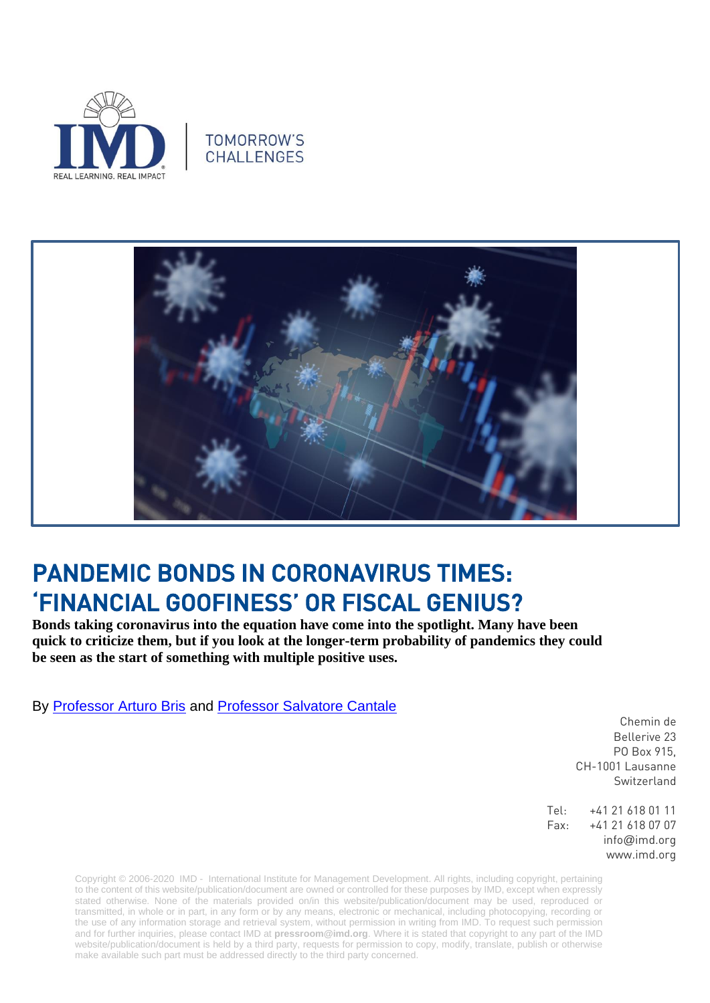

## **TOMORROW'S CHALLENGES**



## PANDEMIC BONDS IN CORONAVIRUS TIMES: 'FINANCIAL GOOFINESS' OR FISCAL GENIUS?

**Bonds taking coronavirus into the equation have come into the spotlight. Many have been quick to criticize them, but if you look at the longer-term probability of pandemics they could be seen as the start of something with multiple positive uses.** 

By [Professor Arturo Bris](https://www.imd.org/faculty/professors/arturo-bris/) and [Professor Salvatore Cantale](https://www.imd.org/faculty/professors/salvatore-cantale/)

Chemin de Bellerive 23 PO Box 915, CH-1001 Lausanne Switzerland

Tel: +41 21 618 01 11 Fax: +41 21 618 07 07 info@imd.org www.imd.org

Copyright © 2006-2020 IMD - International Institute for Management Development. All rights, including copyright, pertaining to the content of this website/publication/document are owned or controlled for these purposes by IMD, except when expressly stated otherwise. None of the materials provided on/in this website/publication/document may be used, reproduced or transmitted, in whole or in part, in any form or by any means, electronic or mechanical, including photocopying, recording or the use of any information storage and retrieval system, without permission in writing from IMD. To request such permission and for further inquiries, please contact IMD at **[pressroom@imd.org](mailto:pressroom@imd.org)**. Where it is stated that copyright to any part of the IMD website/publication/document is held by a third party, requests for permission to copy, modify, translate, publish or otherwise make available such part must be addressed directly to the third party concerned.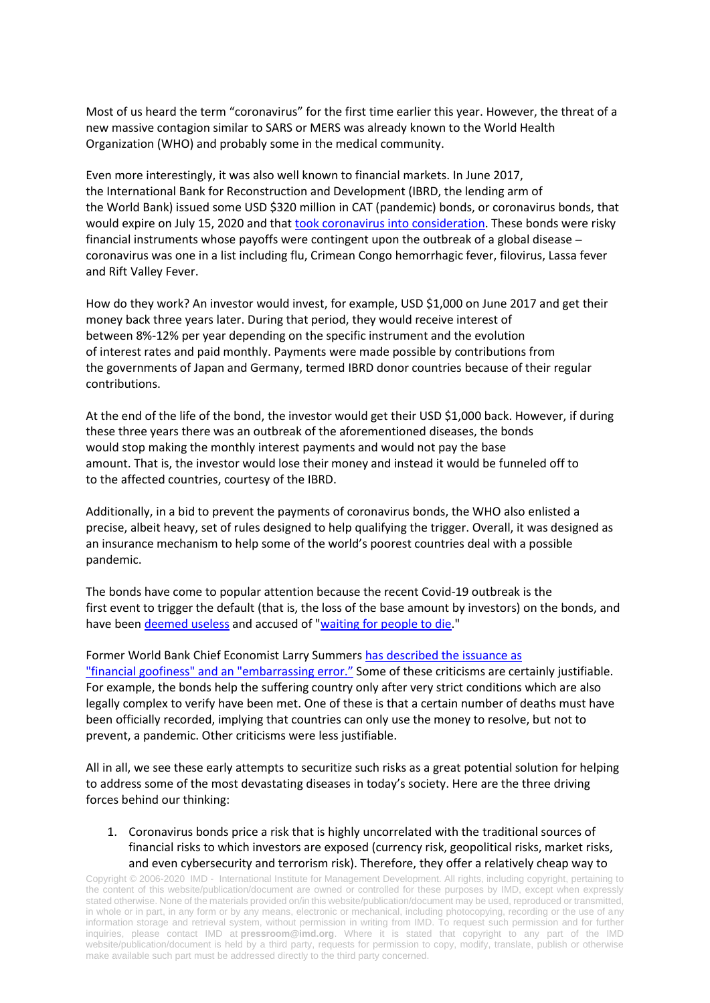Most of us heard the term "coronavirus" for the first time earlier this year. However, the threat of a new massive contagion similar to SARS or MERS was already known to the World Health Organization (WHO) and probably some in the medical community.

Even more interestingly, it was also well known to financial markets. In June 2017, the International Bank for Reconstruction and Development (IBRD, the lending arm of the World Bank) issued some USD \$320 million in CAT (pandemic) bonds, or coronavirus bonds, that would expire on July 15, 2020 and that took coronavirus [into consideration.](https://eur02.safelinks.protection.outlook.com/?url=http%3A%2F%2Fpubdocs.worldbank.org%2Fen%2F882831509568634367%2FPEF-Final-Prospectus-PEF.pdf&data=02%7C01%7Cross.chainey%40imd.org%7C0e763b69124b4729e1ff08d7bf750643%7Cd3113834f50947508faf7c92d551149c%7C0%7C0%7C637188381641796425&sdata=VUkZno1g3BoXQ8sM4utrIipRndWpqeZUbSvGkby5GVk%3D&reserved=0%3e) These bonds were risky financial instruments whose payoffs were contingent upon the outbreak of a global disease – coronavirus was one in a list including flu, Crimean Congo hemorrhagic fever, filovirus, Lassa fever and Rift Valley Fever.

How do they work? An investor would invest, for example, USD \$1,000 on June 2017 and get their money back three years later. During that period, they would receive interest of between 8%-12% per year depending on the specific instrument and the evolution of interest rates and paid monthly. Payments were made possible by contributions from the governments of Japan and Germany, termed IBRD donor countries because of their regular contributions.

At the end of the life of the bond, the investor would get their USD \$1,000 back. However, if during these three years there was an outbreak of the aforementioned diseases, the bonds would stop making the monthly interest payments and would not pay the base amount. That is, the investor would lose their money and instead it would be funneled off to to the affected countries, courtesy of the IBRD.

Additionally, in a bid to prevent the payments of coronavirus bonds, the WHO also enlisted a precise, albeit heavy, set of rules designed to help qualifying the trigger. Overall, it was designed as an insurance mechanism to help some of the world's poorest countries deal with a possible pandemic.

The bonds have come to popular attention because the recent Covid-19 outbreak is the first event to trigger the default (that is, the loss of the base amount by investors) on the bonds, and have been [deemed useless](file:///C:/Users/Chainey/AppData/Local/Microsoft/Windows/INetCache/Content.Outlook/V8GV1PNF/%3chttps:/eur02.safelinks.protection.outlook.com/%3furl=https:/www.france24.com/en/20200226-coronavirus-pandemic-bonds&data=02|01|ross.chainey@imd.org|0e763b69124b4729e1ff08d7bf750643|d3113834f50947508faf7c92d551149c|0|0|637188381641796425&sdata=ZQqE5ZgE1Lj28AelgYx64gSzQwNRzQPduc67WjdNsT8=&reserved=0%3e,%22) and accused of ["waiting for people to](https://eur02.safelinks.protection.outlook.com/?url=https%3A%2F%2Fwww.theguardian.com%2Fglobal-development%2F2020%2Ffeb%2F28%2Fworld-banks-500m-coronavirus-push-too-late-for-poor-countries-experts-say&data=02%7C01%7Cross.chainey%40imd.org%7C0e763b69124b4729e1ff08d7bf750643%7Cd3113834f50947508faf7c92d551149c%7C0%7C0%7C637188381641806384&sdata=MLdUq9HQ6iyWrW2i4hMfqiy2L6vvCUoz4lSxLWn4kno%3D&reserved=0) die."

Former World Bank Chief Economist Larry Summers [has described the issuance as](file:///C:/Users/Chainey/AppData/Local/Microsoft/Windows/INetCache/Content.Outlook/V8GV1PNF/%3chttps:/eur02.safelinks.protection.outlook.com/%3furl=https:/edition.cnn.com/2020/02/15/business/pandemic-bonds-coronavirus/index.html&data=02|01|ross.chainey@imd.org|0e763b69124b4729e1ff08d7bf750643|d3113834f50947508faf7c92d551149c|0|0|637188381641806384&sdata=it6rAj8WXzJdd4NCpzmx18XLBJaIE0bUNX2FSDZ229Q=&reserved=0%3e%22) ["financial goofiness" and an "embarrassing](file:///C:/Users/Chainey/AppData/Local/Microsoft/Windows/INetCache/Content.Outlook/V8GV1PNF/%3chttps:/eur02.safelinks.protection.outlook.com/%3furl=https:/edition.cnn.com/2020/02/15/business/pandemic-bonds-coronavirus/index.html&data=02|01|ross.chainey@imd.org|0e763b69124b4729e1ff08d7bf750643|d3113834f50947508faf7c92d551149c|0|0|637188381641806384&sdata=it6rAj8WXzJdd4NCpzmx18XLBJaIE0bUNX2FSDZ229Q=&reserved=0%3e%22) error." Some of these criticisms are certainly justifiable. For example, the bonds help the suffering country only after very strict conditions which are also legally complex to verify have been met. One of these is that a certain number of deaths must have been officially recorded, implying that countries can only use the money to resolve, but not to prevent, a pandemic. Other criticisms were less justifiable.

All in all, we see these early attempts to securitize such risks as a great potential solution for helping to address some of the most devastating diseases in today's society. Here are the three driving forces behind our thinking:

1. Coronavirus bonds price a risk that is highly uncorrelated with the traditional sources of financial risks to which investors are exposed (currency risk, geopolitical risks, market risks, and even cybersecurity and terrorism risk). Therefore, they offer a relatively cheap way to

Copyright © 2006-2020 IMD - International Institute for Management Development. All rights, including copyright, pertaining to the content of this website/publication/document are owned or controlled for these purposes by IMD, except when expressly stated otherwise. None of the materials provided on/in this website/publication/document may be used, reproduced or transmitted, in whole or in part, in any form or by any means, electronic or mechanical, including photocopying, recording or the use of any information storage and retrieval system, without permission in writing from IMD. To request such permission and for further inquiries, please contact IMD at **[pressroom@imd.org](mailto:pressroom@imd.org)**. Where it is stated that copyright to any part of the IMD website/publication/document is held by a third party, requests for permission to copy, modify, translate, publish or otherwise make available such part must be addressed directly to the third party concerned.